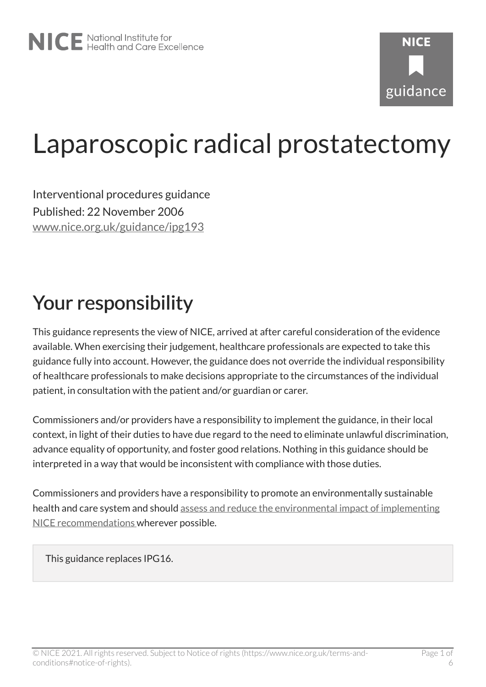# Laparoscopic radical prostatectomy

Interventional procedures guidance Published: 22 November 2006 [www.nice.org.uk/guidance/ipg193](https://www.nice.org.uk/guidance/ipg193) 

# Your responsibility

This guidance represents the view of NICE, arrived at after careful consideration of the evidence available. When exercising their judgement, healthcare professionals are expected to take this guidance fully into account. However, the guidance does not override the individual responsibility of healthcare professionals to make decisions appropriate to the circumstances of the individual patient, in consultation with the patient and/or guardian or carer.

Commissioners and/or providers have a responsibility to implement the guidance, in their local context, in light of their duties to have due regard to the need to eliminate unlawful discrimination, advance equality of opportunity, and foster good relations. Nothing in this guidance should be interpreted in a way that would be inconsistent with compliance with those duties.

Commissioners and providers have a responsibility to promote an environmentally sustainable health and care system and should [assess and reduce the environmental impact of implementing](https://www.nice.org.uk/about/who-we-are/sustainability)  [NICE recommendations w](https://www.nice.org.uk/about/who-we-are/sustainability)herever possible.

This guidance replaces IPG16.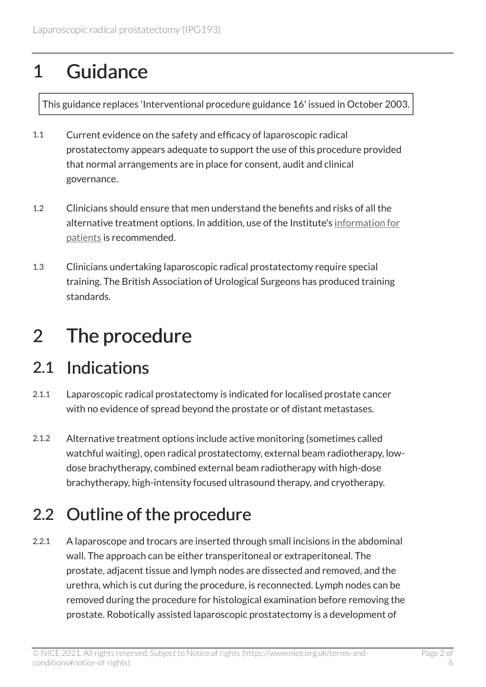# 1 Guidance

This guidance replaces 'Interventional procedure guidance 16' issued in October 2003.

- 1.1 Current evidence on the safety and efficacy of laparoscopic radical prostatectomy appears adequate to support the use of this procedure provided that normal arrangements are in place for consent, audit and clinical governance.
- 1.2 Clinicians should ensure that men understand the benefits and risks of all the alternative treatment options. In addition, use of the Institute's [information for](http://www.nice.org.uk/guidance/ipg193)  [patients](http://www.nice.org.uk/guidance/ipg193) is recommended.
- 1.3 Clinicians undertaking laparoscopic radical prostatectomy require special training. The British Association of Urological Surgeons has produced training standards.

# 2 The procedure

### 2.1 Indications

- 2.1.1 Laparoscopic radical prostatectomy is indicated for localised prostate cancer with no evidence of spread beyond the prostate or of distant metastases.
- 2.1.2 Alternative treatment options include active monitoring (sometimes called watchful waiting), open radical prostatectomy, external beam radiotherapy, lowdose brachytherapy, combined external beam radiotherapy with high-dose brachytherapy, high-intensity focused ultrasound therapy, and cryotherapy.

### 2.2 Outline of the procedure

2.2.1 A laparoscope and trocars are inserted through small incisions in the abdominal wall. The approach can be either transperitoneal or extraperitoneal. The prostate, adjacent tissue and lymph nodes are dissected and removed, and the urethra, which is cut during the procedure, is reconnected. Lymph nodes can be removed during the procedure for histological examination before removing the prostate. Robotically assisted laparoscopic prostatectomy is a development of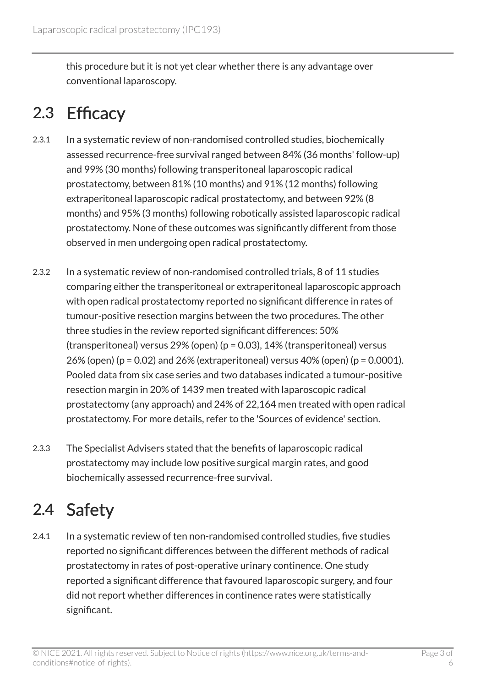this procedure but it is not yet clear whether there is any advantage over conventional laparoscopy.

### 2.3 Efficacy

- 2.3.1 In a systematic review of non-randomised controlled studies, biochemically assessed recurrence-free survival ranged between 84% (36 months' follow-up) and 99% (30 months) following transperitoneal laparoscopic radical prostatectomy, between 81% (10 months) and 91% (12 months) following extraperitoneal laparoscopic radical prostatectomy, and between 92% (8 months) and 95% (3 months) following robotically assisted laparoscopic radical prostatectomy. None of these outcomes was significantly different from those observed in men undergoing open radical prostatectomy.
- 2.3.2 In a systematic review of non-randomised controlled trials, 8 of 11 studies comparing either the transperitoneal or extraperitoneal laparoscopic approach with open radical prostatectomy reported no significant difference in rates of tumour-positive resection margins between the two procedures. The other three studies in the review reported significant differences: 50% (transperitoneal) versus 29% (open) (p = 0.03), 14% (transperitoneal) versus 26% (open) ( $p = 0.02$ ) and 26% (extraperitoneal) versus 40% (open) ( $p = 0.0001$ ). Pooled data from six case series and two databases indicated a tumour-positive resection margin in 20% of 1439 men treated with laparoscopic radical prostatectomy (any approach) and 24% of 22,164 men treated with open radical prostatectomy. For more details, refer to the 'Sources of evidence' section.
- 2.3.3 The Specialist Advisers stated that the benefits of laparoscopic radical prostatectomy may include low positive surgical margin rates, and good biochemically assessed recurrence-free survival.

### 2.4 Safety

2.4.1 In a systematic review of ten non-randomised controlled studies, five studies reported no significant differences between the different methods of radical prostatectomy in rates of post-operative urinary continence. One study reported a significant difference that favoured laparoscopic surgery, and four did not report whether differences in continence rates were statistically significant.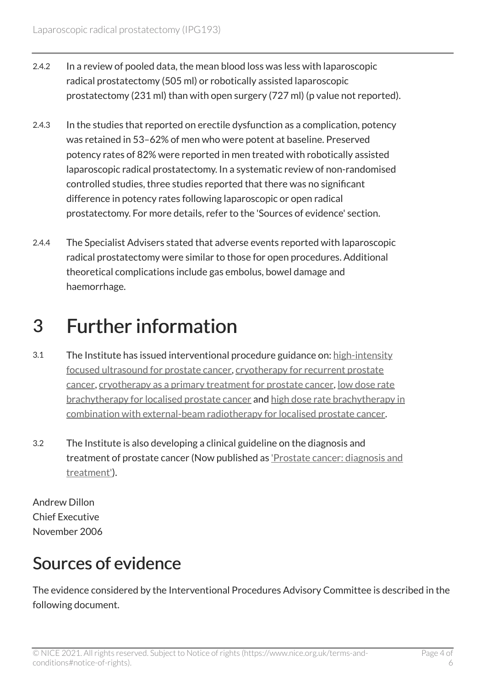- 2.4.2 In a review of pooled data, the mean blood loss was less with laparoscopic radical prostatectomy (505 ml) or robotically assisted laparoscopic prostatectomy (231 ml) than with open surgery (727 ml) (p value not reported).
- 2.4.3 In the studies that reported on erectile dysfunction as a complication, potency was retained in 53–62% of men who were potent at baseline. Preserved potency rates of 82% were reported in men treated with robotically assisted laparoscopic radical prostatectomy. In a systematic review of non-randomised controlled studies, three studies reported that there was no significant difference in potency rates following laparoscopic or open radical prostatectomy. For more details, refer to the 'Sources of evidence' section.
- 2.4.4 The Specialist Advisers stated that adverse events reported with laparoscopic radical prostatectomy were similar to those for open procedures. Additional theoretical complications include gas embolus, bowel damage and haemorrhage.

# 3 Further information

- 3.1 The Institute has issued interventional procedure guidance on: [high-intensity](http://www.nice.org.uk/guidance/ipg118) [focused ultrasound for prostate cancer,](http://www.nice.org.uk/guidance/ipg118) [cryotherapy for recurrent prostate](http://www.nice.org.uk/guidance/ipg119) [cancer](http://www.nice.org.uk/guidance/ipg119), [cryotherapy as a primary treatment for prostate cancer,](http://www.nice.org.uk/guidance/ipg145) [low dose rate](http://www.nice.org.uk/guidance/ipg132)  [brachytherapy for localised prostate cancer](http://www.nice.org.uk/guidance/ipg132) and [high dose rate brachytherapy in](http://www.nice.org.uk/guidance/ipg174) [combination with external-beam radiotherapy for localised prostate cancer.](http://www.nice.org.uk/guidance/ipg174)
- 3.2 The Institute is also developing a clinical guideline on the diagnosis and treatment of prostate cancer (Now published as ['Prostate cancer: diagnosis and](http://www.nice.org.uk/guidance/cg58)  [treatment'](http://www.nice.org.uk/guidance/cg58)).

Andrew Dillon Chief Executive November 2006

### Sources of evidence

The evidence considered by the Interventional Procedures Advisory Committee is described in the following document.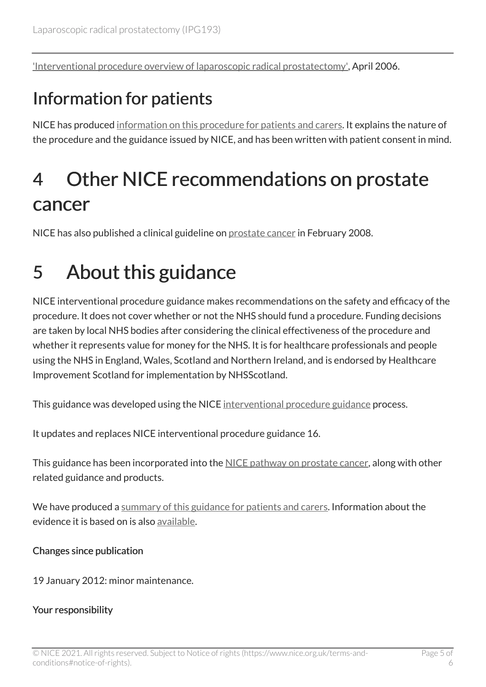['Interventional procedure overview of laparoscopic radical prostatectomy',](http://www.nice.org.uk/proxy/?sourceUrl=http%3a%2f%2fwww.nice.org.uk%2fIP39aoverview) April 2006.

### Information for patients

NICE has produced [information on this procedure for patients and carers](http://www.nice.org.uk/guidance/ipg193). It explains the nature of the procedure and the guidance issued by NICE, and has been written with patient consent in mind.

# 4 Other NICE recommendations on prostate cancer

NICE has also published a clinical guideline on [prostate cancer](http://www.nice.org.uk/guidance/cg58) in February 2008.

# 5 About this guidance

NICE interventional procedure guidance makes recommendations on the safety and efficacy of the procedure. It does not cover whether or not the NHS should fund a procedure. Funding decisions are taken by local NHS bodies after considering the clinical effectiveness of the procedure and whether it represents value for money for the NHS. It is for healthcare professionals and people using the NHS in England, Wales, Scotland and Northern Ireland, and is endorsed by Healthcare Improvement Scotland for implementation by NHSScotland.

This guidance was developed using the NICE [interventional procedure guidance](http://www.nice.org.uk/about/what-we-do/our-programmes/nice-guidance/nice-interventional-procedures-guidance) process.

It updates and replaces NICE interventional procedure guidance 16.

This guidance has been incorporated into the [NICE pathway on prostate cancer](http://pathways.nice.org.uk/pathways/prostate-cancer), along with other related guidance and products.

We have produced a [summary of this guidance for patients and carers.](http://www.nice.org.uk/guidance/ipg193/informationforpublic) Information about the evidence it is based on is also [available](http://www.nice.org.uk/guidance/ipg193).

#### Changes since publication

19 January 2012: minor maintenance.

#### Your responsibility